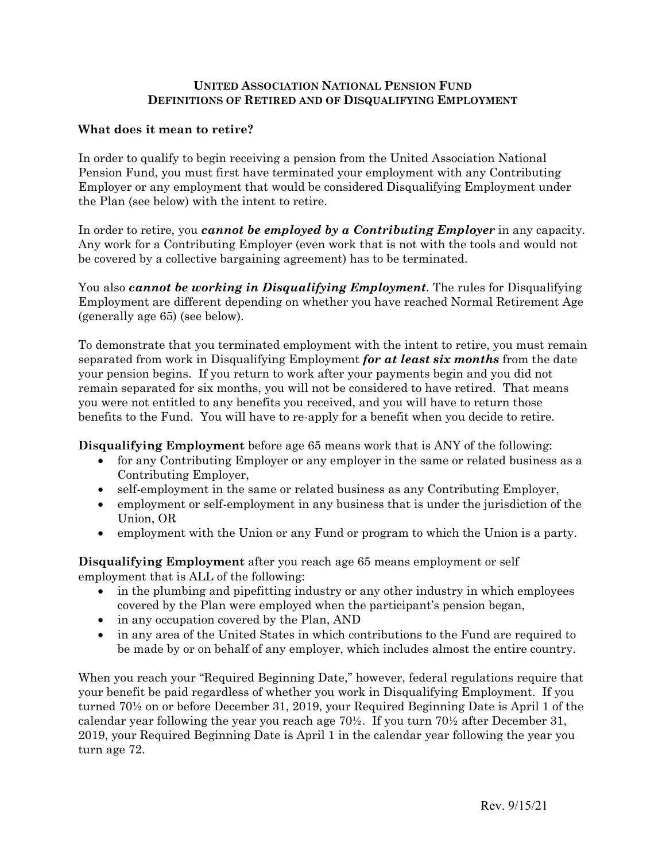## **UNITED ASSOCIATION NATIONAL PENSION FUND DEFINITIONS OF RETIRED AND OF DISQUALIFYING EMPLOYMENT**

## **What does it mean to retire?**

In order to qualify to begin receiving a pension from the United Association National Pension Fund, you must first have terminated your employment with any Contributing Employer or any employment that would be considered Disqualifying Employment under the Plan (see below) with the intent to retire.

In order to retire, you *cannot be employed by a Contributing Employer* in any capacity. Any work for a Contributing Employer (even work that is not with the tools and would not be covered by a collective bargaining agreement) has to be terminated.

You also *cannot be working in Disqualifying Employment.* The rules for Disqualifying Employment are different depending on whether you have reached Normal Retirement Age (generally age 65) (see below).

To demonstrate that you terminated employment with the intent to retire, you must remain separated from work in Disqualifying Employment *for at least six months* from the date your pension begins. If you return to work after your payments begin and you did not remain separated for six months, you will not be considered to have retired. That means you were not entitled to any benefits you received, and you will have to return those benefits to the Fund. You will have to re-apply for a benefit when you decide to retire.

**Disqualifying Employment** before age 65 means work that is ANY of the following:

- for any Contributing Employer or any employer in the same or related business as a Contributing Employer,
- self-employment in the same or related business as any Contributing Employer,
- employment or self-employment in any business that is under the jurisdiction of the Union, OR
- employment with the Union or any Fund or program to which the Union is a party.

**Disqualifying Employment** after you reach age 65 means employment or self employment that is ALL of the following:

- in the plumbing and pipefitting industry or any other industry in which employees covered by the Plan were employed when the participant's pension began,
- in any occupation covered by the Plan, AND
- in any area of the United States in which contributions to the Fund are required to be made by or on behalf of any employer, which includes almost the entire country.

When you reach your "Required Beginning Date," however, federal regulations require that your benefit be paid regardless of whether you work in Disqualifying Employment. If you turned 70½ on or before December 31, 2019, your Required Beginning Date is April 1 of the calendar year following the year you reach age  $70\frac{1}{2}$ . If you turn  $70\frac{1}{2}$  after December 31, 2019, your Required Beginning Date is April 1 in the calendar year following the year you turn age 72.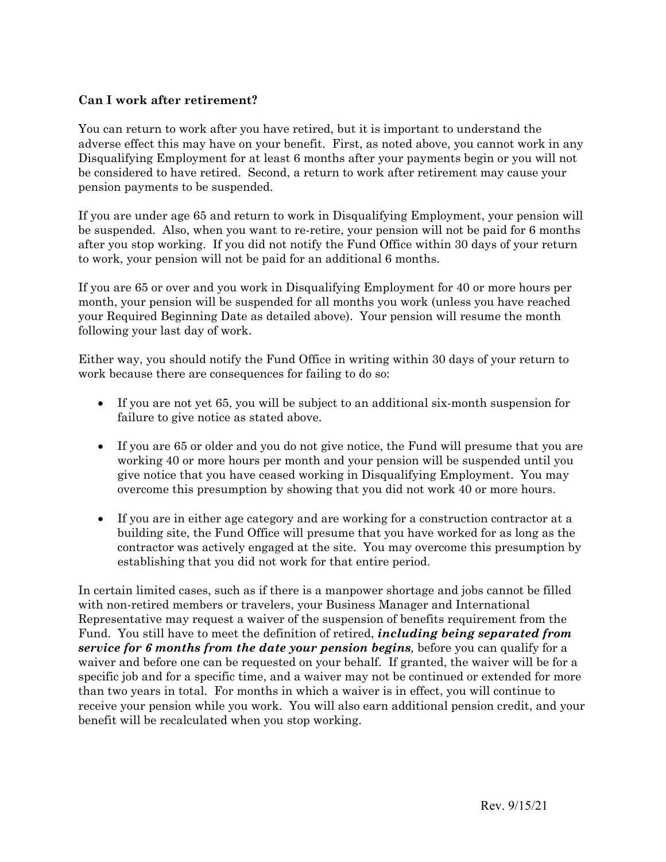## **Can I work after retirement?**

You can return to work after you have retired, but it is important to understand the adverse effect this may have on your benefit. First, as noted above, you cannot work in any Disqualifying Employment for at least 6 months after your payments begin or you will not be considered to have retired. Second, a return to work after retirement may cause your pension payments to be suspended.

If you are under age 65 and return to work in Disqualifying Employment, your pension will be suspended. Also, when you want to re-retire, your pension will not be paid for 6 months after you stop working. If you did not notify the Fund Office within 30 days of your return to work, your pension will not be paid for an additional 6 months.

If you are 65 or over and you work in Disqualifying Employment for 40 or more hours per month, your pension will be suspended for all months you work (unless you have reached your Required Beginning Date as detailed above). Your pension will resume the month following your last day of work.

Either way, you should notify the Fund Office in writing within 30 days of your return to work because there are consequences for failing to do so:

- If you are not yet 65, you will be subject to an additional six-month suspension for failure to give notice as stated above.
- If you are 65 or older and you do not give notice, the Fund will presume that you are working 40 or more hours per month and your pension will be suspended until you give notice that you have ceased working in Disqualifying Employment. You may overcome this presumption by showing that you did not work 40 or more hours.
- If you are in either age category and are working for a construction contractor at a building site, the Fund Office will presume that you have worked for as long as the contractor was actively engaged at the site. You may overcome this presumption by establishing that you did not work for that entire period.

In certain limited cases, such as if there is a manpower shortage and jobs cannot be filled with non-retired members or travelers, your Business Manager and International Representative may request a waiver of the suspension of benefits requirement from the Fund. You still have to meet the definition of retired, *including being separated from service for 6 months from the date your pension begins,* before you can qualify for a waiver and before one can be requested on your behalf. If granted, the waiver will be for a specific job and for a specific time, and a waiver may not be continued or extended for more than two years in total. For months in which a waiver is in effect, you will continue to receive your pension while you work. You will also earn additional pension credit, and your benefit will be recalculated when you stop working.